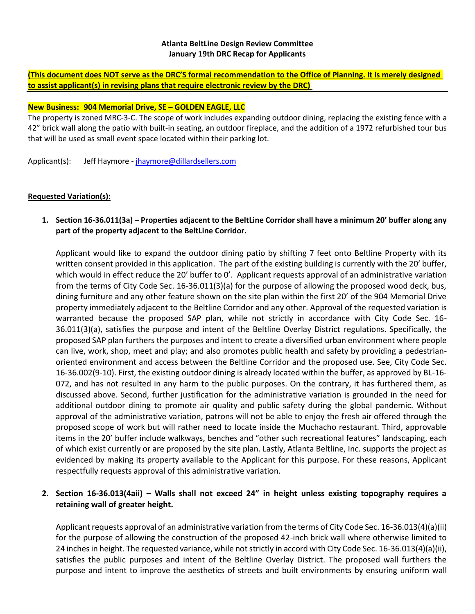### **Atlanta BeltLine Design Review Committee January 19th DRC Recap for Applicants**

**(This document does NOT serve as the DRC'S formal recommendation to the Office of Planning. It is merely designed to assist applicant(s) in revising plans that require electronic review by the DRC)**

### **New Business: 904 Memorial Drive, SE – GOLDEN EAGLE, LLC**

The property is zoned MRC-3-C. The scope of work includes expanding outdoor dining, replacing the existing fence with a 42" brick wall along the patio with built-in seating, an outdoor fireplace, and the addition of a 1972 refurbished tour bus that will be used as small event space located within their parking lot.

Applicant(s): Jeff Haymore - [jhaymore@dillardsellers.com](mailto:jhaymore@dillardsellers.com)

### **Requested Variation(s):**

**1. Section 16-36.011(3a) – Properties adjacent to the BeltLine Corridor shall have a minimum 20' buffer along any part of the property adjacent to the BeltLine Corridor.** 

Applicant would like to expand the outdoor dining patio by shifting 7 feet onto Beltline Property with its written consent provided in this application. The part of the existing building is currently with the 20' buffer, which would in effect reduce the 20' buffer to 0'. Applicant requests approval of an administrative variation from the terms of City Code Sec. 16-36.011(3)(a) for the purpose of allowing the proposed wood deck, bus, dining furniture and any other feature shown on the site plan within the first 20' of the 904 Memorial Drive property immediately adjacent to the Beltline Corridor and any other. Approval of the requested variation is warranted because the proposed SAP plan, while not strictly in accordance with City Code Sec. 16- 36.011(3)(a), satisfies the purpose and intent of the Beltline Overlay District regulations. Specifically, the proposed SAP plan furthers the purposes and intent to create a diversified urban environment where people can live, work, shop, meet and play; and also promotes public health and safety by providing a pedestrianoriented environment and access between the Beltline Corridor and the proposed use. See, City Code Sec. 16-36.002(9-10). First, the existing outdoor dining is already located within the buffer, as approved by BL-16- 072, and has not resulted in any harm to the public purposes. On the contrary, it has furthered them, as discussed above. Second, further justification for the administrative variation is grounded in the need for additional outdoor dining to promote air quality and public safety during the global pandemic. Without approval of the administrative variation, patrons will not be able to enjoy the fresh air offered through the proposed scope of work but will rather need to locate inside the Muchacho restaurant. Third, approvable items in the 20' buffer include walkways, benches and "other such recreational features" landscaping, each of which exist currently or are proposed by the site plan. Lastly, Atlanta Beltline, Inc. supports the project as evidenced by making its property available to the Applicant for this purpose. For these reasons, Applicant respectfully requests approval of this administrative variation.

# **2. Section 16-36.013(4aii) – Walls shall not exceed 24" in height unless existing topography requires a retaining wall of greater height.**

Applicant requests approval of an administrative variation from the terms of City Code Sec. 16-36.013(4)(a)(ii) for the purpose of allowing the construction of the proposed 42-inch brick wall where otherwise limited to 24 inches in height. The requested variance, while not strictly in accord with City Code Sec. 16-36.013(4)(a)(ii), satisfies the public purposes and intent of the Beltline Overlay District. The proposed wall furthers the purpose and intent to improve the aesthetics of streets and built environments by ensuring uniform wall